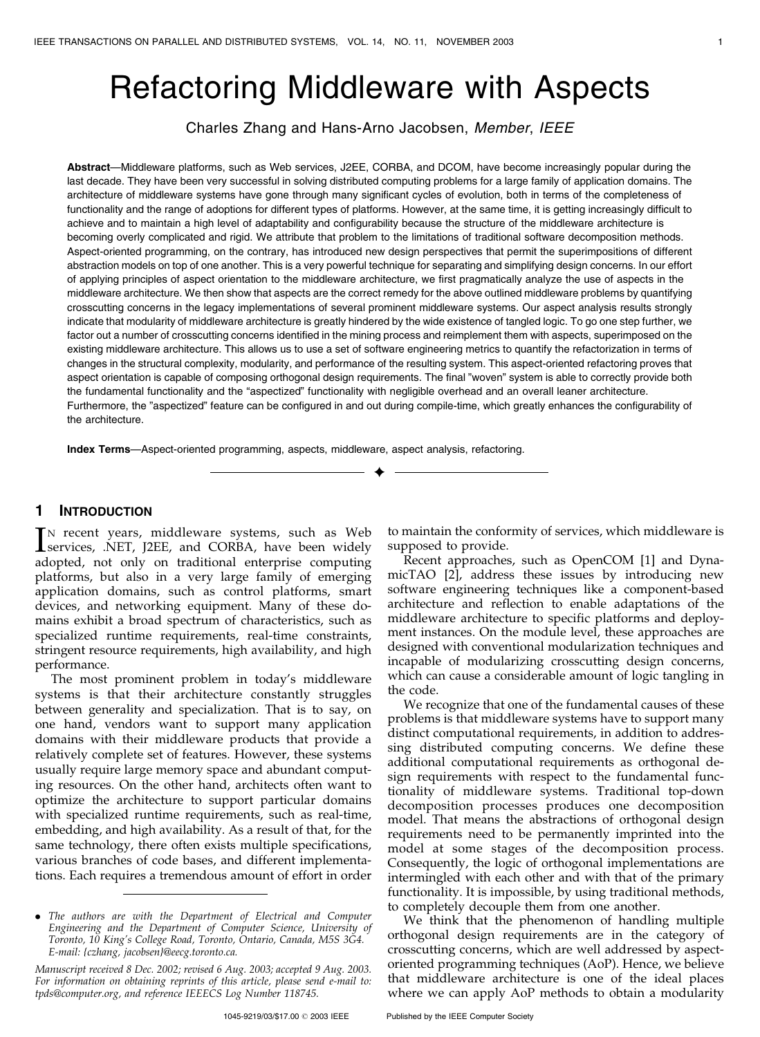# Refactoring Middleware with Aspects

Charles Zhang and Hans-Arno Jacobsen, Member, IEEE

Abstract—Middleware platforms, such as Web services, J2EE, CORBA, and DCOM, have become increasingly popular during the last decade. They have been very successful in solving distributed computing problems for a large family of application domains. The architecture of middleware systems have gone through many significant cycles of evolution, both in terms of the completeness of functionality and the range of adoptions for different types of platforms. However, at the same time, it is getting increasingly difficult to achieve and to maintain a high level of adaptability and configurability because the structure of the middleware architecture is becoming overly complicated and rigid. We attribute that problem to the limitations of traditional software decomposition methods. Aspect-oriented programming, on the contrary, has introduced new design perspectives that permit the superimpositions of different abstraction models on top of one another. This is a very powerful technique for separating and simplifying design concerns. In our effort of applying principles of aspect orientation to the middleware architecture, we first pragmatically analyze the use of aspects in the middleware architecture. We then show that aspects are the correct remedy for the above outlined middleware problems by quantifying crosscutting concerns in the legacy implementations of several prominent middleware systems. Our aspect analysis results strongly indicate that modularity of middleware architecture is greatly hindered by the wide existence of tangled logic. To go one step further, we factor out a number of crosscutting concerns identified in the mining process and reimplement them with aspects, superimposed on the existing middleware architecture. This allows us to use a set of software engineering metrics to quantify the refactorization in terms of changes in the structural complexity, modularity, and performance of the resulting system. This aspect-oriented refactoring proves that aspect orientation is capable of composing orthogonal design requirements. The final "woven" system is able to correctly provide both the fundamental functionality and the "aspectized" functionality with negligible overhead and an overall leaner architecture. Furthermore, the "aspectized" feature can be configured in and out during compile-time, which greatly enhances the configurability of the architecture.

 $\ddotmark$ 

Index Terms—Aspect-oriented programming, aspects, middleware, aspect analysis, refactoring.

## 1 INTRODUCTION

IN recent years, middleware systems, such as Web<br>services, .NET, J2EE, and CORBA, have been widely services, .NET, J2EE, and CORBA, have been widely adopted, not only on traditional enterprise computing platforms, but also in a very large family of emerging application domains, such as control platforms, smart devices, and networking equipment. Many of these domains exhibit a broad spectrum of characteristics, such as specialized runtime requirements, real-time constraints, stringent resource requirements, high availability, and high performance.

The most prominent problem in today's middleware systems is that their architecture constantly struggles between generality and specialization. That is to say, on one hand, vendors want to support many application domains with their middleware products that provide a relatively complete set of features. However, these systems usually require large memory space and abundant computing resources. On the other hand, architects often want to optimize the architecture to support particular domains with specialized runtime requirements, such as real-time, embedding, and high availability. As a result of that, for the same technology, there often exists multiple specifications, various branches of code bases, and different implementations. Each requires a tremendous amount of effort in order to maintain the conformity of services, which middleware is supposed to provide.

Recent approaches, such as OpenCOM [1] and DynamicTAO [2], address these issues by introducing new software engineering techniques like a component-based architecture and reflection to enable adaptations of the middleware architecture to specific platforms and deployment instances. On the module level, these approaches are designed with conventional modularization techniques and incapable of modularizing crosscutting design concerns, which can cause a considerable amount of logic tangling in the code.

We recognize that one of the fundamental causes of these problems is that middleware systems have to support many distinct computational requirements, in addition to addressing distributed computing concerns. We define these additional computational requirements as orthogonal design requirements with respect to the fundamental functionality of middleware systems. Traditional top-down decomposition processes produces one decomposition model. That means the abstractions of orthogonal design requirements need to be permanently imprinted into the model at some stages of the decomposition process. Consequently, the logic of orthogonal implementations are intermingled with each other and with that of the primary functionality. It is impossible, by using traditional methods, to completely decouple them from one another.

We think that the phenomenon of handling multiple orthogonal design requirements are in the category of crosscutting concerns, which are well addressed by aspectoriented programming techniques (AoP). Hence, we believe that middleware architecture is one of the ideal places where we can apply AoP methods to obtain a modularity

<sup>.</sup> The authors are with the Department of Electrical and Computer Engineering and the Department of Computer Science, University of Toronto, 10 King's College Road, Toronto, Ontario, Canada, M5S 3G4. E-mail: {czhang, jacobsen}@eecg.toronto.ca.

Manuscript received 8 Dec. 2002; revised 6 Aug. 2003; accepted 9 Aug. 2003. For information on obtaining reprints of this article, please send e-mail to: tpds@computer.org, and reference IEEECS Log Number 118745.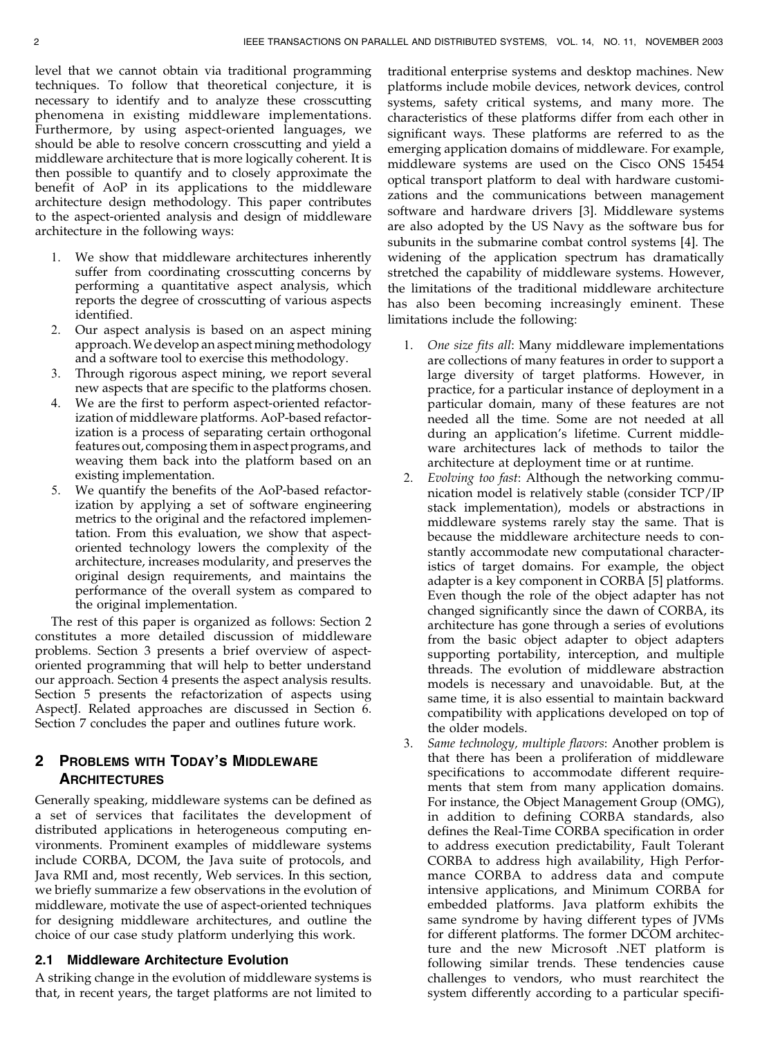level that we cannot obtain via traditional programming techniques. To follow that theoretical conjecture, it is necessary to identify and to analyze these crosscutting phenomena in existing middleware implementations. Furthermore, by using aspect-oriented languages, we should be able to resolve concern crosscutting and yield a middleware architecture that is more logically coherent. It is then possible to quantify and to closely approximate the benefit of AoP in its applications to the middleware architecture design methodology. This paper contributes to the aspect-oriented analysis and design of middleware architecture in the following ways:

- 1. We show that middleware architectures inherently suffer from coordinating crosscutting concerns by performing a quantitative aspect analysis, which reports the degree of crosscutting of various aspects identified.
- 2. Our aspect analysis is based on an aspect mining approach.We develop an aspect mining methodology and a software tool to exercise this methodology.
- 3. Through rigorous aspect mining, we report several new aspects that are specific to the platforms chosen.
- 4. We are the first to perform aspect-oriented refactorization of middleware platforms. AoP-based refactorization is a process of separating certain orthogonal features out, composing them in aspect programs, and weaving them back into the platform based on an existing implementation.
- 5. We quantify the benefits of the AoP-based refactorization by applying a set of software engineering metrics to the original and the refactored implementation. From this evaluation, we show that aspectoriented technology lowers the complexity of the architecture, increases modularity, and preserves the original design requirements, and maintains the performance of the overall system as compared to the original implementation.

The rest of this paper is organized as follows: Section 2 constitutes a more detailed discussion of middleware problems. Section 3 presents a brief overview of aspectoriented programming that will help to better understand our approach. Section 4 presents the aspect analysis results. Section 5 presents the refactorization of aspects using AspectJ. Related approaches are discussed in Section 6. Section 7 concludes the paper and outlines future work.

# 2 PROBLEMS WITH TODAY's MIDDLEWARE **ARCHITECTURES**

Generally speaking, middleware systems can be defined as a set of services that facilitates the development of distributed applications in heterogeneous computing environments. Prominent examples of middleware systems include CORBA, DCOM, the Java suite of protocols, and Java RMI and, most recently, Web services. In this section, we briefly summarize a few observations in the evolution of middleware, motivate the use of aspect-oriented techniques for designing middleware architectures, and outline the choice of our case study platform underlying this work.

# 2.1 Middleware Architecture Evolution

A striking change in the evolution of middleware systems is that, in recent years, the target platforms are not limited to traditional enterprise systems and desktop machines. New platforms include mobile devices, network devices, control systems, safety critical systems, and many more. The characteristics of these platforms differ from each other in significant ways. These platforms are referred to as the emerging application domains of middleware. For example, middleware systems are used on the Cisco ONS 15454 optical transport platform to deal with hardware customizations and the communications between management software and hardware drivers [3]. Middleware systems are also adopted by the US Navy as the software bus for subunits in the submarine combat control systems [4]. The widening of the application spectrum has dramatically stretched the capability of middleware systems. However, the limitations of the traditional middleware architecture has also been becoming increasingly eminent. These limitations include the following:

- 1. One size fits all: Many middleware implementations are collections of many features in order to support a large diversity of target platforms. However, in practice, for a particular instance of deployment in a particular domain, many of these features are not needed all the time. Some are not needed at all during an application's lifetime. Current middleware architectures lack of methods to tailor the architecture at deployment time or at runtime.
- 2. Evolving too fast: Although the networking communication model is relatively stable (consider TCP/IP stack implementation), models or abstractions in middleware systems rarely stay the same. That is because the middleware architecture needs to constantly accommodate new computational characteristics of target domains. For example, the object adapter is a key component in CORBA [5] platforms. Even though the role of the object adapter has not changed significantly since the dawn of CORBA, its architecture has gone through a series of evolutions from the basic object adapter to object adapters supporting portability, interception, and multiple threads. The evolution of middleware abstraction models is necessary and unavoidable. But, at the same time, it is also essential to maintain backward compatibility with applications developed on top of the older models.
- 3. Same technology, multiple flavors: Another problem is that there has been a proliferation of middleware specifications to accommodate different requirements that stem from many application domains. For instance, the Object Management Group (OMG), in addition to defining CORBA standards, also defines the Real-Time CORBA specification in order to address execution predictability, Fault Tolerant CORBA to address high availability, High Performance CORBA to address data and compute intensive applications, and Minimum CORBA for embedded platforms. Java platform exhibits the same syndrome by having different types of JVMs for different platforms. The former DCOM architecture and the new Microsoft .NET platform is following similar trends. These tendencies cause challenges to vendors, who must rearchitect the system differently according to a particular specifi-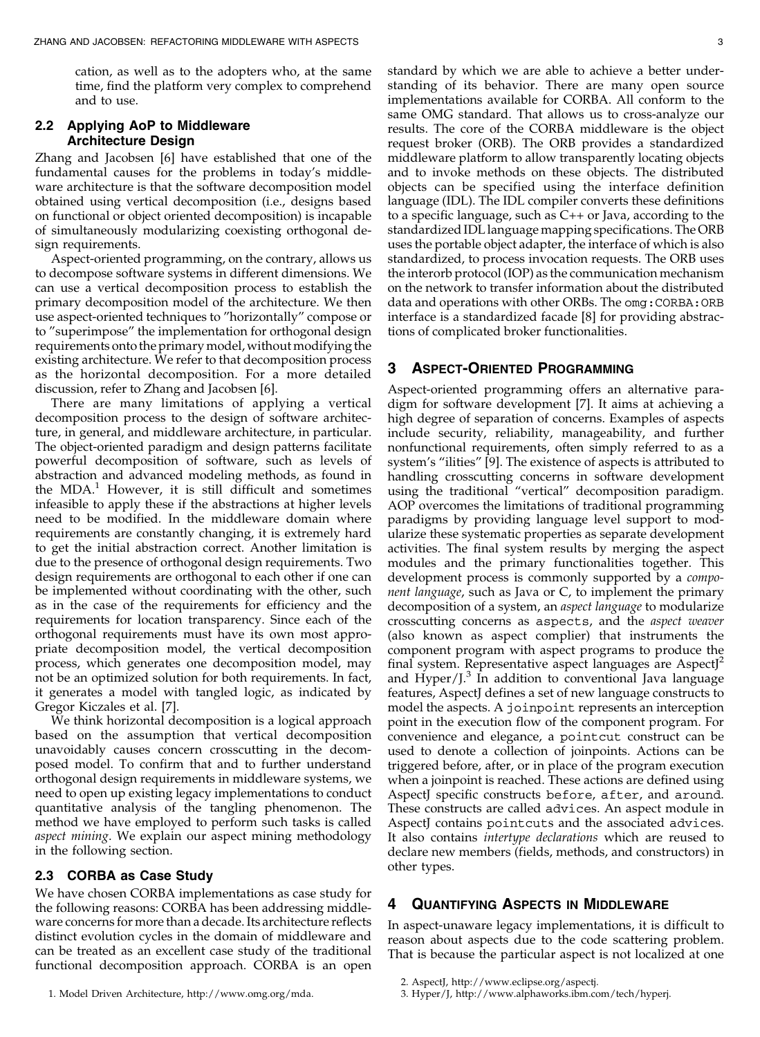cation, as well as to the adopters who, at the same time, find the platform very complex to comprehend and to use.

## 2.2 Applying AoP to Middleware Architecture Design

Zhang and Jacobsen [6] have established that one of the fundamental causes for the problems in today's middleware architecture is that the software decomposition model obtained using vertical decomposition (i.e., designs based on functional or object oriented decomposition) is incapable of simultaneously modularizing coexisting orthogonal design requirements.

Aspect-oriented programming, on the contrary, allows us to decompose software systems in different dimensions. We can use a vertical decomposition process to establish the primary decomposition model of the architecture. We then use aspect-oriented techniques to "horizontally" compose or to "superimpose" the implementation for orthogonal design requirements onto the primary model, without modifying the existing architecture. We refer to that decomposition process as the horizontal decomposition. For a more detailed discussion, refer to Zhang and Jacobsen [6].

There are many limitations of applying a vertical decomposition process to the design of software architecture, in general, and middleware architecture, in particular. The object-oriented paradigm and design patterns facilitate powerful decomposition of software, such as levels of abstraction and advanced modeling methods, as found in the MDA.<sup>1</sup> However, it is still difficult and sometimes infeasible to apply these if the abstractions at higher levels need to be modified. In the middleware domain where requirements are constantly changing, it is extremely hard to get the initial abstraction correct. Another limitation is due to the presence of orthogonal design requirements. Two design requirements are orthogonal to each other if one can be implemented without coordinating with the other, such as in the case of the requirements for efficiency and the requirements for location transparency. Since each of the orthogonal requirements must have its own most appropriate decomposition model, the vertical decomposition process, which generates one decomposition model, may not be an optimized solution for both requirements. In fact, it generates a model with tangled logic, as indicated by Gregor Kiczales et al. [7].

We think horizontal decomposition is a logical approach based on the assumption that vertical decomposition unavoidably causes concern crosscutting in the decomposed model. To confirm that and to further understand orthogonal design requirements in middleware systems, we need to open up existing legacy implementations to conduct quantitative analysis of the tangling phenomenon. The method we have employed to perform such tasks is called aspect mining. We explain our aspect mining methodology in the following section.

## 2.3 CORBA as Case Study

We have chosen CORBA implementations as case study for the following reasons: CORBA has been addressing middleware concerns for more than a decade. Its architecture reflects distinct evolution cycles in the domain of middleware and can be treated as an excellent case study of the traditional functional decomposition approach. CORBA is an open standard by which we are able to achieve a better understanding of its behavior. There are many open source implementations available for CORBA. All conform to the same OMG standard. That allows us to cross-analyze our results. The core of the CORBA middleware is the object request broker (ORB). The ORB provides a standardized middleware platform to allow transparently locating objects and to invoke methods on these objects. The distributed objects can be specified using the interface definition language (IDL). The IDL compiler converts these definitions to a specific language, such as C++ or Java, according to the standardized IDL language mapping specifications. The ORB uses the portable object adapter, the interface of which is also standardized, to process invocation requests. The ORB uses the interorb protocol (IOP) as the communication mechanism on the network to transfer information about the distributed data and operations with other ORBs. The omg:CORBA:ORB interface is a standardized facade [8] for providing abstractions of complicated broker functionalities.

## 3 ASPECT-ORIENTED PROGRAMMING

Aspect-oriented programming offers an alternative paradigm for software development [7]. It aims at achieving a high degree of separation of concerns. Examples of aspects include security, reliability, manageability, and further nonfunctional requirements, often simply referred to as a system's "ilities" [9]. The existence of aspects is attributed to handling crosscutting concerns in software development using the traditional "vertical" decomposition paradigm. AOP overcomes the limitations of traditional programming paradigms by providing language level support to modularize these systematic properties as separate development activities. The final system results by merging the aspect modules and the primary functionalities together. This development process is commonly supported by a component language, such as Java or C, to implement the primary decomposition of a system, an aspect language to modularize crosscutting concerns as aspects, and the aspect weaver (also known as aspect complier) that instruments the component program with aspect programs to produce the final system. Representative aspect languages are  $\text{AspectJ}^2$ and Hyper/J. $3$  In addition to conventional Java language features, AspectJ defines a set of new language constructs to model the aspects. A joinpoint represents an interception point in the execution flow of the component program. For convenience and elegance, a pointcut construct can be used to denote a collection of joinpoints. Actions can be triggered before, after, or in place of the program execution when a joinpoint is reached. These actions are defined using AspectJ specific constructs before, after, and around. These constructs are called advices. An aspect module in AspectJ contains pointcuts and the associated advices. It also contains intertype declarations which are reused to declare new members (fields, methods, and constructors) in other types.

## 4 QUANTIFYING ASPECTS IN MIDDLEWARE

In aspect-unaware legacy implementations, it is difficult to reason about aspects due to the code scattering problem. That is because the particular aspect is not localized at one

<sup>1.</sup> Model Driven Architecture, http://www.omg.org/mda.

<sup>2.</sup> AspectJ, http://www.eclipse.org/aspectj.

<sup>3.</sup> Hyper/J, http://www.alphaworks.ibm.com/tech/hyperj.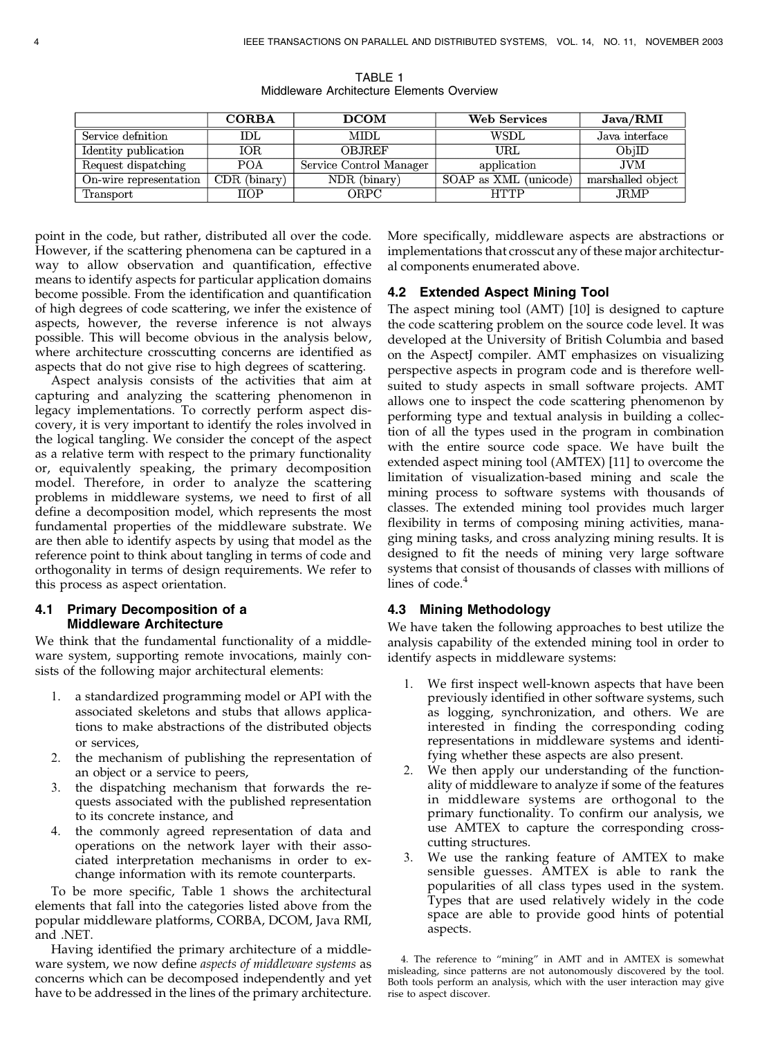|                        | <b>CORBA</b> | <b>DCOM</b>             | <b>Web Services</b>   | Java/RMI          |
|------------------------|--------------|-------------------------|-----------------------|-------------------|
| Service definition     | IDL.         | MIDL                    | <b>WSDL</b>           | Java interface    |
| Identity publication   | IOR.         | <b>OBJREF</b>           | URL                   | ObjID             |
| Request dispatching    | <b>POA</b>   | Service Control Manager | application           | JVM.              |
| On-wire representation | CDR (binary) | NDR (binary)            | SOAP as XML (unicode) | marshalled object |
| $\mathrm{Transport}$   | HOP.         | <b>ORPC</b>             | <b>HTTP</b>           | JRMP              |

TABLE 1 Middleware Architecture Elements Overview

point in the code, but rather, distributed all over the code. However, if the scattering phenomena can be captured in a way to allow observation and quantification, effective means to identify aspects for particular application domains become possible. From the identification and quantification of high degrees of code scattering, we infer the existence of aspects, however, the reverse inference is not always possible. This will become obvious in the analysis below, where architecture crosscutting concerns are identified as aspects that do not give rise to high degrees of scattering.

Aspect analysis consists of the activities that aim at capturing and analyzing the scattering phenomenon in legacy implementations. To correctly perform aspect discovery, it is very important to identify the roles involved in the logical tangling. We consider the concept of the aspect as a relative term with respect to the primary functionality or, equivalently speaking, the primary decomposition model. Therefore, in order to analyze the scattering problems in middleware systems, we need to first of all define a decomposition model, which represents the most fundamental properties of the middleware substrate. We are then able to identify aspects by using that model as the reference point to think about tangling in terms of code and orthogonality in terms of design requirements. We refer to this process as aspect orientation.

## 4.1 Primary Decomposition of a Middleware Architecture

We think that the fundamental functionality of a middleware system, supporting remote invocations, mainly consists of the following major architectural elements:

- 1. a standardized programming model or API with the associated skeletons and stubs that allows applications to make abstractions of the distributed objects or services,
- 2. the mechanism of publishing the representation of an object or a service to peers,
- 3. the dispatching mechanism that forwards the requests associated with the published representation to its concrete instance, and
- 4. the commonly agreed representation of data and operations on the network layer with their associated interpretation mechanisms in order to exchange information with its remote counterparts.

To be more specific, Table 1 shows the architectural elements that fall into the categories listed above from the popular middleware platforms, CORBA, DCOM, Java RMI, and .NET.

Having identified the primary architecture of a middleware system, we now define aspects of middleware systems as concerns which can be decomposed independently and yet have to be addressed in the lines of the primary architecture.

More specifically, middleware aspects are abstractions or implementations that crosscut any of these major architectural components enumerated above.

## 4.2 Extended Aspect Mining Tool

The aspect mining tool (AMT) [10] is designed to capture the code scattering problem on the source code level. It was developed at the University of British Columbia and based on the AspectJ compiler. AMT emphasizes on visualizing perspective aspects in program code and is therefore wellsuited to study aspects in small software projects. AMT allows one to inspect the code scattering phenomenon by performing type and textual analysis in building a collection of all the types used in the program in combination with the entire source code space. We have built the extended aspect mining tool (AMTEX) [11] to overcome the limitation of visualization-based mining and scale the mining process to software systems with thousands of classes. The extended mining tool provides much larger flexibility in terms of composing mining activities, managing mining tasks, and cross analyzing mining results. It is designed to fit the needs of mining very large software systems that consist of thousands of classes with millions of lines of  $code.<sup>4</sup>$ 

## 4.3 Mining Methodology

We have taken the following approaches to best utilize the analysis capability of the extended mining tool in order to identify aspects in middleware systems:

- 1. We first inspect well-known aspects that have been previously identified in other software systems, such as logging, synchronization, and others. We are interested in finding the corresponding coding representations in middleware systems and identifying whether these aspects are also present.
- 2. We then apply our understanding of the functionality of middleware to analyze if some of the features in middleware systems are orthogonal to the primary functionality. To confirm our analysis, we use AMTEX to capture the corresponding crosscutting structures.
- 3. We use the ranking feature of AMTEX to make sensible guesses. AMTEX is able to rank the popularities of all class types used in the system. Types that are used relatively widely in the code space are able to provide good hints of potential aspects.

<sup>4.</sup> The reference to "mining" in AMT and in AMTEX is somewhat misleading, since patterns are not autonomously discovered by the tool. Both tools perform an analysis, which with the user interaction may give rise to aspect discover.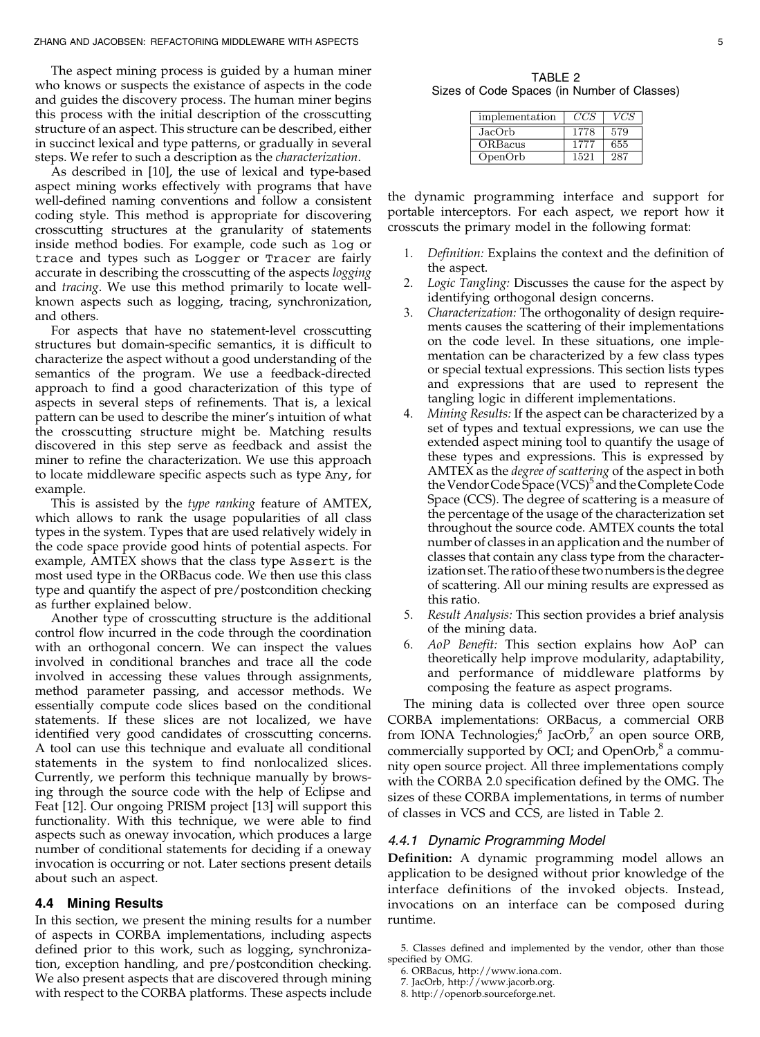The aspect mining process is guided by a human miner who knows or suspects the existance of aspects in the code and guides the discovery process. The human miner begins this process with the initial description of the crosscutting structure of an aspect. This structure can be described, either in succinct lexical and type patterns, or gradually in several steps. We refer to such a description as the *characterization*.

As described in [10], the use of lexical and type-based aspect mining works effectively with programs that have well-defined naming conventions and follow a consistent coding style. This method is appropriate for discovering crosscutting structures at the granularity of statements inside method bodies. For example, code such as log or trace and types such as Logger or Tracer are fairly accurate in describing the crosscutting of the aspects *logging* and tracing. We use this method primarily to locate wellknown aspects such as logging, tracing, synchronization, and others.

For aspects that have no statement-level crosscutting structures but domain-specific semantics, it is difficult to characterize the aspect without a good understanding of the semantics of the program. We use a feedback-directed approach to find a good characterization of this type of aspects in several steps of refinements. That is, a lexical pattern can be used to describe the miner's intuition of what the crosscutting structure might be. Matching results discovered in this step serve as feedback and assist the miner to refine the characterization. We use this approach to locate middleware specific aspects such as type Any, for example.

This is assisted by the type ranking feature of AMTEX, which allows to rank the usage popularities of all class types in the system. Types that are used relatively widely in the code space provide good hints of potential aspects. For example, AMTEX shows that the class type Assert is the most used type in the ORBacus code. We then use this class type and quantify the aspect of pre/postcondition checking as further explained below.

Another type of crosscutting structure is the additional control flow incurred in the code through the coordination with an orthogonal concern. We can inspect the values involved in conditional branches and trace all the code involved in accessing these values through assignments, method parameter passing, and accessor methods. We essentially compute code slices based on the conditional statements. If these slices are not localized, we have identified very good candidates of crosscutting concerns. A tool can use this technique and evaluate all conditional statements in the system to find nonlocalized slices. Currently, we perform this technique manually by browsing through the source code with the help of Eclipse and Feat [12]. Our ongoing PRISM project [13] will support this functionality. With this technique, we were able to find aspects such as oneway invocation, which produces a large number of conditional statements for deciding if a oneway invocation is occurring or not. Later sections present details about such an aspect.

#### 4.4 Mining Results

In this section, we present the mining results for a number of aspects in CORBA implementations, including aspects defined prior to this work, such as logging, synchronization, exception handling, and pre/postcondition checking. We also present aspects that are discovered through mining with respect to the CORBA platforms. These aspects include

TABLE 2 Sizes of Code Spaces (in Number of Classes)

| implementation | CCS  | VCS |
|----------------|------|-----|
| JacOrb         | 1778 | 579 |
| ORBacus        | 1777 | 655 |
| OpenOrb        | 1521 |     |

the dynamic programming interface and support for portable interceptors. For each aspect, we report how it crosscuts the primary model in the following format:

- 1. Definition: Explains the context and the definition of the aspect.
- 2. Logic Tangling: Discusses the cause for the aspect by identifying orthogonal design concerns.
- 3. Characterization: The orthogonality of design requirements causes the scattering of their implementations on the code level. In these situations, one implementation can be characterized by a few class types or special textual expressions. This section lists types and expressions that are used to represent the tangling logic in different implementations.
- Mining Results: If the aspect can be characterized by a set of types and textual expressions, we can use the extended aspect mining tool to quantify the usage of these types and expressions. This is expressed by AMTEX as the degree of scattering of the aspect in both the Vendor Code Space (VCS)<sup>5</sup> and the Complete Code Space (CCS). The degree of scattering is a measure of the percentage of the usage of the characterization set throughout the source code. AMTEX counts the total number of classes in an application and the number of classes that contain any class type from the characterization set. The ratio of these two numbers is the degree of scattering. All our mining results are expressed as this ratio.
- 5. Result Analysis: This section provides a brief analysis of the mining data.
- 6. AoP Benefit: This section explains how AoP can theoretically help improve modularity, adaptability, and performance of middleware platforms by composing the feature as aspect programs.

The mining data is collected over three open source CORBA implementations: ORBacus, a commercial ORB from IONA Technologies; $^{6}$  JacOrb, $^{7}$  an open source ORB, commercially supported by OCI; and OpenOrb, $\delta$  a community open source project. All three implementations comply with the CORBA 2.0 specification defined by the OMG. The sizes of these CORBA implementations, in terms of number of classes in VCS and CCS, are listed in Table 2.

## 4.4.1 Dynamic Programming Model

Definition: A dynamic programming model allows an application to be designed without prior knowledge of the interface definitions of the invoked objects. Instead, invocations on an interface can be composed during runtime.

<sup>5.</sup> Classes defined and implemented by the vendor, other than those specified by OMG.

<sup>6.</sup> ORBacus, http://www.iona.com.

<sup>7.</sup> JacOrb, http://www.jacorb.org.

<sup>8.</sup> http://openorb.sourceforge.net.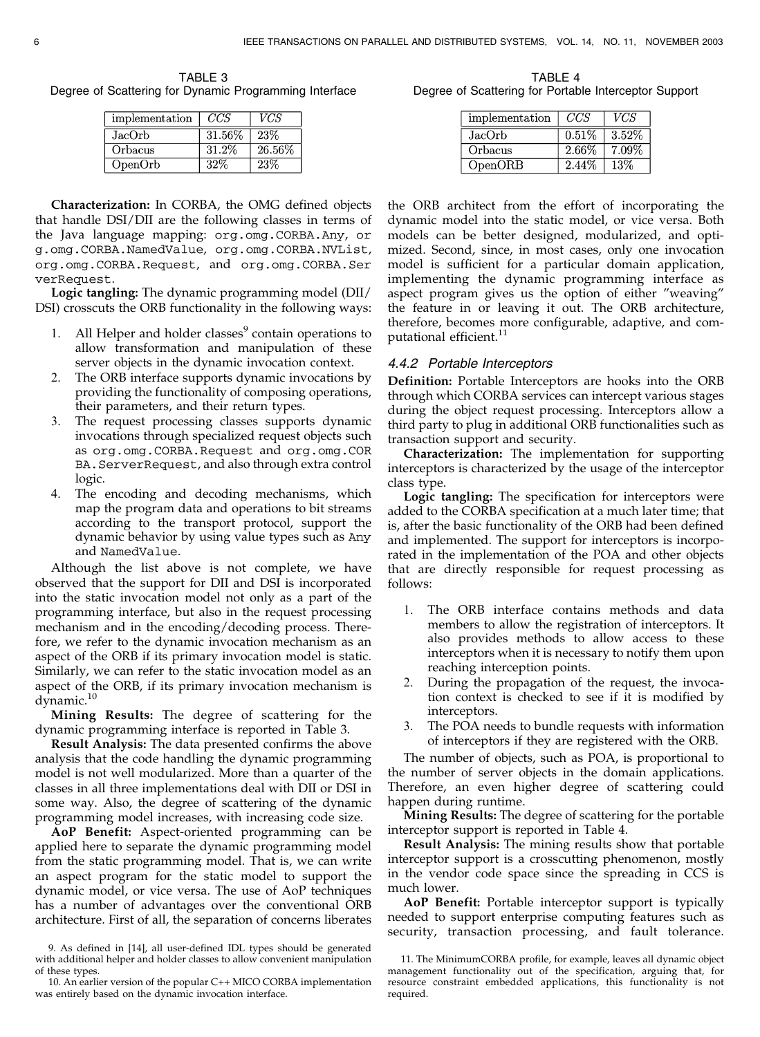TARI F 3 Degree of Scattering for Dynamic Programming Interface

| implementation | CCS    | VCS    |
|----------------|--------|--------|
| JacOrb         | 31.56% | 23%    |
| Orbacus        | 31.2%  | 26.56% |
| OpenOrb        | 32%    | 23%    |

Characterization: In CORBA, the OMG defined objects that handle DSI/DII are the following classes in terms of the Java language mapping: org.omg.CORBA.Any, or g.omg.CORBA.NamedValue, org.omg.CORBA.NVList, org.omg.CORBA.Request, and org.omg.CORBA.Ser verRequest.

Logic tangling: The dynamic programming model (DII/ DSI) crosscuts the ORB functionality in the following ways:

- 1. All Helper and holder classes $<sup>9</sup>$  contain operations to</sup> allow transformation and manipulation of these server objects in the dynamic invocation context.
- 2. The ORB interface supports dynamic invocations by providing the functionality of composing operations, their parameters, and their return types.
- 3. The request processing classes supports dynamic invocations through specialized request objects such as org.omg.CORBA.Request and org.omg.COR BA.ServerRequest, and also through extra control logic.
- 4. The encoding and decoding mechanisms, which map the program data and operations to bit streams according to the transport protocol, support the dynamic behavior by using value types such as Any and NamedValue.

Although the list above is not complete, we have observed that the support for DII and DSI is incorporated into the static invocation model not only as a part of the programming interface, but also in the request processing mechanism and in the encoding/decoding process. Therefore, we refer to the dynamic invocation mechanism as an aspect of the ORB if its primary invocation model is static. Similarly, we can refer to the static invocation model as an aspect of the ORB, if its primary invocation mechanism is dynamic.<sup>10</sup>

Mining Results: The degree of scattering for the dynamic programming interface is reported in Table 3.

Result Analysis: The data presented confirms the above analysis that the code handling the dynamic programming model is not well modularized. More than a quarter of the classes in all three implementations deal with DII or DSI in some way. Also, the degree of scattering of the dynamic programming model increases, with increasing code size.

AoP Benefit: Aspect-oriented programming can be applied here to separate the dynamic programming model from the static programming model. That is, we can write an aspect program for the static model to support the dynamic model, or vice versa. The use of AoP techniques has a number of advantages over the conventional ORB architecture. First of all, the separation of concerns liberates

TABLE 4 Degree of Scattering for Portable Interceptor Support

| implementation | CCS      | VCS      |
|----------------|----------|----------|
| JacOrb         | 0.51%    | 3.52\%   |
| Orbacus        | $2.66\%$ | $7.09\%$ |
| OpenORB        | $2.44\%$ | 13%      |

the ORB architect from the effort of incorporating the dynamic model into the static model, or vice versa. Both models can be better designed, modularized, and optimized. Second, since, in most cases, only one invocation model is sufficient for a particular domain application, implementing the dynamic programming interface as aspect program gives us the option of either "weaving" the feature in or leaving it out. The ORB architecture, therefore, becomes more configurable, adaptive, and computational efficient.<sup>11</sup>

#### 4.4.2 Portable Interceptors

Definition: Portable Interceptors are hooks into the ORB through which CORBA services can intercept various stages during the object request processing. Interceptors allow a third party to plug in additional ORB functionalities such as transaction support and security.

Characterization: The implementation for supporting interceptors is characterized by the usage of the interceptor class type.

Logic tangling: The specification for interceptors were added to the CORBA specification at a much later time; that is, after the basic functionality of the ORB had been defined and implemented. The support for interceptors is incorporated in the implementation of the POA and other objects that are directly responsible for request processing as follows:

- 1. The ORB interface contains methods and data members to allow the registration of interceptors. It also provides methods to allow access to these interceptors when it is necessary to notify them upon reaching interception points.
- During the propagation of the request, the invocation context is checked to see if it is modified by interceptors.
- 3. The POA needs to bundle requests with information of interceptors if they are registered with the ORB.

The number of objects, such as POA, is proportional to the number of server objects in the domain applications. Therefore, an even higher degree of scattering could happen during runtime.

Mining Results: The degree of scattering for the portable interceptor support is reported in Table 4.

Result Analysis: The mining results show that portable interceptor support is a crosscutting phenomenon, mostly in the vendor code space since the spreading in CCS is much lower.

AoP Benefit: Portable interceptor support is typically needed to support enterprise computing features such as security, transaction processing, and fault tolerance.

<sup>9.</sup> As defined in [14], all user-defined IDL types should be generated with additional helper and holder classes to allow convenient manipulation of these types.

<sup>10.</sup> An earlier version of the popular C++ MICO CORBA implementation was entirely based on the dynamic invocation interface.

<sup>11.</sup> The MinimumCORBA profile, for example, leaves all dynamic object management functionality out of the specification, arguing that, for resource constraint embedded applications, this functionality is not required.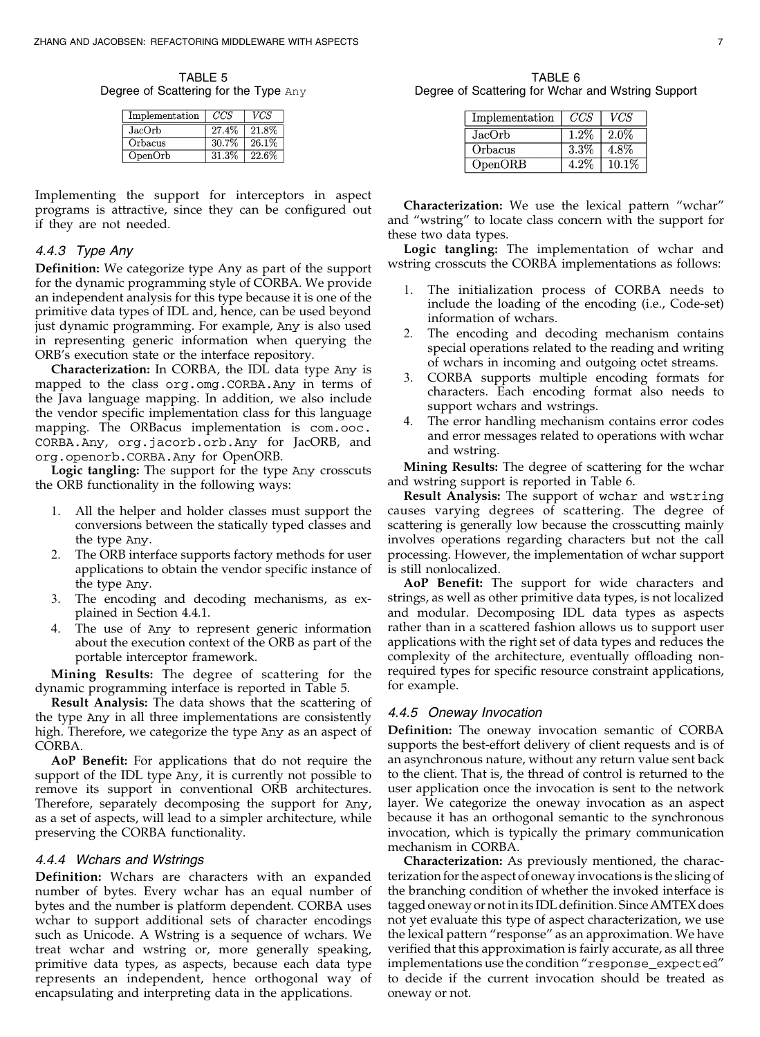TARIF<sub>5</sub> Degree of Scattering for the Type Any

| Implementation | CCS   | VCS   |
|----------------|-------|-------|
| JacOrb         | 27.4% | 21.8% |
| Orbacus        | 30.7% | 26.1% |
| OpenOrb        | 31.3% | 22.6% |

Implementing the support for interceptors in aspect programs is attractive, since they can be configured out if they are not needed.

#### 4.4.3 Type Any

Definition: We categorize type Any as part of the support for the dynamic programming style of CORBA. We provide an independent analysis for this type because it is one of the primitive data types of IDL and, hence, can be used beyond just dynamic programming. For example, Any is also used in representing generic information when querying the ORB's execution state or the interface repository.

Characterization: In CORBA, the IDL data type Any is mapped to the class org.omg.CORBA.Any in terms of the Java language mapping. In addition, we also include the vendor specific implementation class for this language mapping. The ORBacus implementation is com.ooc. CORBA.Any, org.jacorb.orb.Any for JacORB, and org.openorb.CORBA.Any for OpenORB.

Logic tangling: The support for the type Any crosscuts the ORB functionality in the following ways:

- 1. All the helper and holder classes must support the conversions between the statically typed classes and the type Any.
- 2. The ORB interface supports factory methods for user applications to obtain the vendor specific instance of the type Any.
- 3. The encoding and decoding mechanisms, as explained in Section 4.4.1.
- 4. The use of Any to represent generic information about the execution context of the ORB as part of the portable interceptor framework.

Mining Results: The degree of scattering for the dynamic programming interface is reported in Table 5.

Result Analysis: The data shows that the scattering of the type Any in all three implementations are consistently high. Therefore, we categorize the type Any as an aspect of CORBA.

AoP Benefit: For applications that do not require the support of the IDL type Any, it is currently not possible to remove its support in conventional ORB architectures. Therefore, separately decomposing the support for Any, as a set of aspects, will lead to a simpler architecture, while preserving the CORBA functionality.

#### 4.4.4 Wchars and Wstrings

Definition: Wchars are characters with an expanded number of bytes. Every wchar has an equal number of bytes and the number is platform dependent. CORBA uses wchar to support additional sets of character encodings such as Unicode. A Wstring is a sequence of wchars. We treat wchar and wstring or, more generally speaking, primitive data types, as aspects, because each data type represents an independent, hence orthogonal way of encapsulating and interpreting data in the applications.

TABLE 6 Degree of Scattering for Wchar and Wstring Support

| Implementation | CCS     | VCS   |
|----------------|---------|-------|
| JacOrb         | $1.2\%$ | 2.0%  |
| Orbacus        | 3.3%    | 4.8%  |
| OpenORB        | 4.2%    | 10.1% |

Characterization: We use the lexical pattern "wchar" and "wstring" to locate class concern with the support for these two data types.

Logic tangling: The implementation of wchar and wstring crosscuts the CORBA implementations as follows:

- 1. The initialization process of CORBA needs to include the loading of the encoding (i.e., Code-set) information of wchars.
- 2. The encoding and decoding mechanism contains special operations related to the reading and writing of wchars in incoming and outgoing octet streams.
- 3. CORBA supports multiple encoding formats for characters. Each encoding format also needs to support wchars and wstrings.
- 4. The error handling mechanism contains error codes and error messages related to operations with wchar and wstring.

Mining Results: The degree of scattering for the wchar and wstring support is reported in Table 6.

Result Analysis: The support of wchar and wstring causes varying degrees of scattering. The degree of scattering is generally low because the crosscutting mainly involves operations regarding characters but not the call processing. However, the implementation of wchar support is still nonlocalized.

AoP Benefit: The support for wide characters and strings, as well as other primitive data types, is not localized and modular. Decomposing IDL data types as aspects rather than in a scattered fashion allows us to support user applications with the right set of data types and reduces the complexity of the architecture, eventually offloading nonrequired types for specific resource constraint applications, for example.

#### 4.4.5 Oneway Invocation

Definition: The oneway invocation semantic of CORBA supports the best-effort delivery of client requests and is of an asynchronous nature, without any return value sent back to the client. That is, the thread of control is returned to the user application once the invocation is sent to the network layer. We categorize the oneway invocation as an aspect because it has an orthogonal semantic to the synchronous invocation, which is typically the primary communication mechanism in CORBA.

Characterization: As previously mentioned, the characterization for the aspect of oneway invocations is the slicing of the branching condition of whether the invoked interface is tagged oneway or notinits IDL definition. Since AMTEX does not yet evaluate this type of aspect characterization, we use the lexical pattern "response" as an approximation. We have verified that this approximation is fairly accurate, as all three implementations use the condition "response\_expected" to decide if the current invocation should be treated as oneway or not.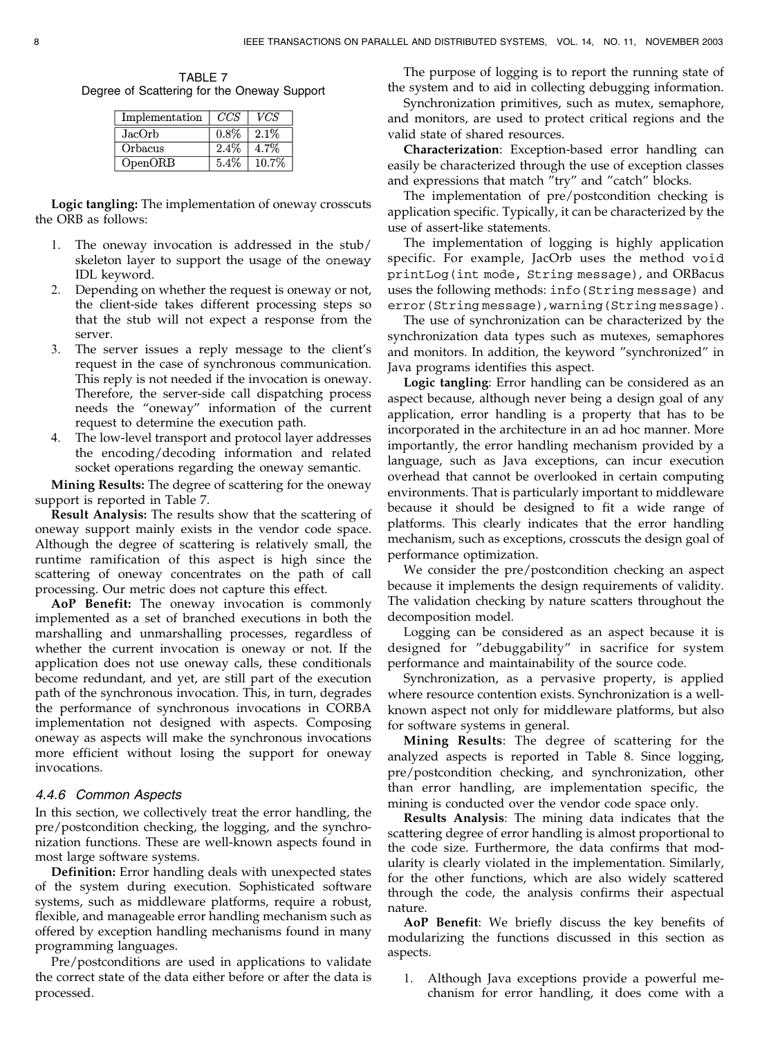TABLE 7 Degree of Scattering for the Oneway Support

| Implementation | CCS     | VCS   |
|----------------|---------|-------|
| JacOrb         | $0.8\%$ | 2.1%  |
| Orbacus        | $2.4\%$ | 4.7%  |
| OpenORB        | 5.4%    | 10.7% |

Logic tangling: The implementation of oneway crosscuts the ORB as follows:

- 1. The oneway invocation is addressed in the stub/ skeleton layer to support the usage of the oneway IDL keyword.
- 2. Depending on whether the request is oneway or not, the client-side takes different processing steps so that the stub will not expect a response from the server.
- 3. The server issues a reply message to the client's request in the case of synchronous communication. This reply is not needed if the invocation is oneway. Therefore, the server-side call dispatching process needs the "oneway" information of the current request to determine the execution path.
- 4. The low-level transport and protocol layer addresses the encoding/decoding information and related socket operations regarding the oneway semantic.

Mining Results: The degree of scattering for the oneway support is reported in Table 7.

Result Analysis: The results show that the scattering of oneway support mainly exists in the vendor code space. Although the degree of scattering is relatively small, the runtime ramification of this aspect is high since the scattering of oneway concentrates on the path of call processing. Our metric does not capture this effect.

AoP Benefit: The oneway invocation is commonly implemented as a set of branched executions in both the marshalling and unmarshalling processes, regardless of whether the current invocation is oneway or not. If the application does not use oneway calls, these conditionals become redundant, and yet, are still part of the execution path of the synchronous invocation. This, in turn, degrades the performance of synchronous invocations in CORBA implementation not designed with aspects. Composing oneway as aspects will make the synchronous invocations more efficient without losing the support for oneway invocations.

#### 4.4.6 Common Aspects

In this section, we collectively treat the error handling, the pre/postcondition checking, the logging, and the synchronization functions. These are well-known aspects found in most large software systems.

Definition: Error handling deals with unexpected states of the system during execution. Sophisticated software systems, such as middleware platforms, require a robust, flexible, and manageable error handling mechanism such as offered by exception handling mechanisms found in many programming languages.

Pre/postconditions are used in applications to validate the correct state of the data either before or after the data is processed.

The purpose of logging is to report the running state of the system and to aid in collecting debugging information.

Synchronization primitives, such as mutex, semaphore, and monitors, are used to protect critical regions and the valid state of shared resources.

Characterization: Exception-based error handling can easily be characterized through the use of exception classes and expressions that match "try" and "catch" blocks.

The implementation of pre/postcondition checking is application specific. Typically, it can be characterized by the use of assert-like statements.

The implementation of logging is highly application specific. For example, JacOrb uses the method void printLog(int mode, String message), and ORBacus uses the following methods: info(String message) and error(String message), warning(String message).

The use of synchronization can be characterized by the synchronization data types such as mutexes, semaphores and monitors. In addition, the keyword "synchronized" in Java programs identifies this aspect.

Logic tangling: Error handling can be considered as an aspect because, although never being a design goal of any application, error handling is a property that has to be incorporated in the architecture in an ad hoc manner. More importantly, the error handling mechanism provided by a language, such as Java exceptions, can incur execution overhead that cannot be overlooked in certain computing environments. That is particularly important to middleware because it should be designed to fit a wide range of platforms. This clearly indicates that the error handling mechanism, such as exceptions, crosscuts the design goal of performance optimization.

We consider the pre/postcondition checking an aspect because it implements the design requirements of validity. The validation checking by nature scatters throughout the decomposition model.

Logging can be considered as an aspect because it is designed for "debuggability" in sacrifice for system performance and maintainability of the source code.

Synchronization, as a pervasive property, is applied where resource contention exists. Synchronization is a wellknown aspect not only for middleware platforms, but also for software systems in general.

Mining Results: The degree of scattering for the analyzed aspects is reported in Table 8. Since logging, pre/postcondition checking, and synchronization, other than error handling, are implementation specific, the mining is conducted over the vendor code space only.

Results Analysis: The mining data indicates that the scattering degree of error handling is almost proportional to the code size. Furthermore, the data confirms that modularity is clearly violated in the implementation. Similarly, for the other functions, which are also widely scattered through the code, the analysis confirms their aspectual nature.

AoP Benefit: We briefly discuss the key benefits of modularizing the functions discussed in this section as aspects.

1. Although Java exceptions provide a powerful mechanism for error handling, it does come with a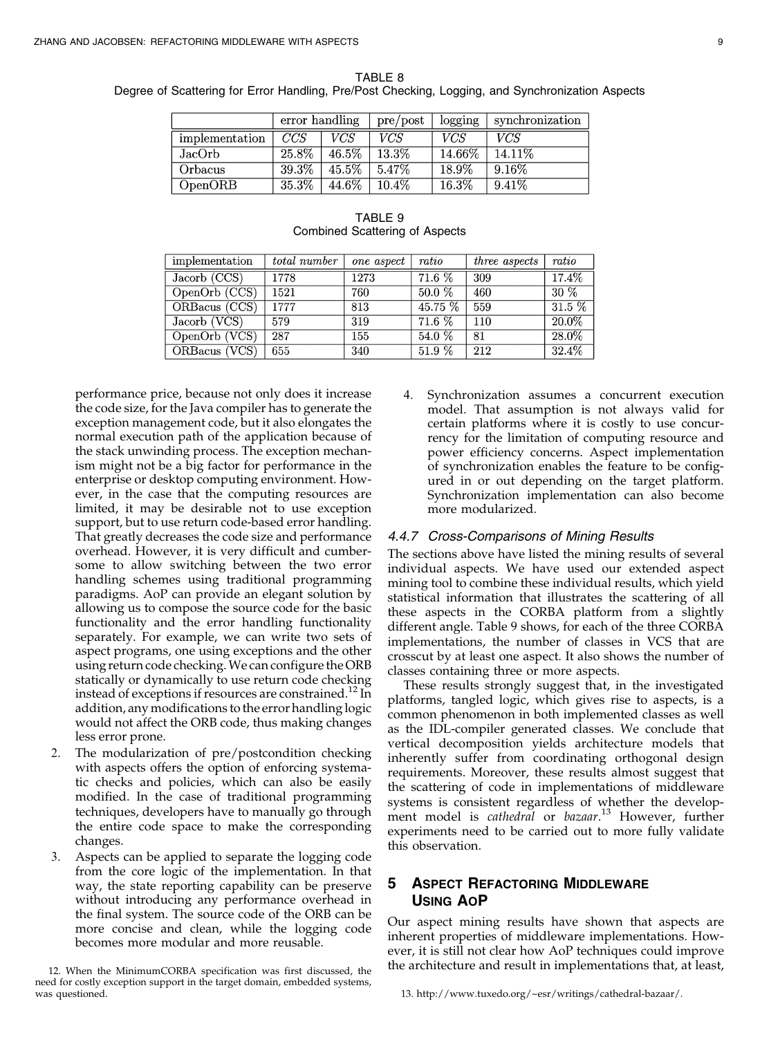|                | error handling |       | pre/post | logging | synchronization |
|----------------|----------------|-------|----------|---------|-----------------|
| implementation | CCS            | VCS   | VCS      | VCS     | VCS             |
| JacOrb         | 25.8%          | 46.5% | 13.3%    | 14.66%  | 14.11%          |
| Orbacus        | 39.3%          | 45.5% | 5.47%    | 18.9%   | $9.16\%$        |
| OpenORB        | 35.3%          | 44.6% | $10.4\%$ | 16.3%   | $9.41\%$        |

TABLE 8 Degree of Scattering for Error Handling, Pre/Post Checking, Logging, and Synchronization Aspects

TABLE 9 Combined Scattering of Aspects

| implementation | total number | one aspect | ratio   | three aspects | ratio    |
|----------------|--------------|------------|---------|---------------|----------|
| Jacorb (CCS)   | 1778         | 1273       | 71.6 %  | 309           | 17.4%    |
| OpenOrb (CCS)  | 1521         | 760        | 50.0 %  | 460           | $30\%$   |
| ORBacus (CCS)  | 1777         | 813        | 45.75 % | 559           | $31.5\%$ |
| Jacorb(VCS)    | 579          | 319        | 71.6 %  | 110           | $20.0\%$ |
| OpenOrb (VCS)  | 287          | 155        | 54.0 %  | 81            | 28.0%    |
| ORBacus (VCS)  | 655          | 340        | 51.9 %  | 212           | 32.4%    |

performance price, because not only does it increase the code size, for the Java compiler has to generate the exception management code, but it also elongates the normal execution path of the application because of the stack unwinding process. The exception mechanism might not be a big factor for performance in the enterprise or desktop computing environment. However, in the case that the computing resources are limited, it may be desirable not to use exception support, but to use return code-based error handling. That greatly decreases the code size and performance overhead. However, it is very difficult and cumbersome to allow switching between the two error handling schemes using traditional programming paradigms. AoP can provide an elegant solution by allowing us to compose the source code for the basic functionality and the error handling functionality separately. For example, we can write two sets of aspect programs, one using exceptions and the other using return code checking.We can configure the ORB statically or dynamically to use return code checking instead of exceptions if resources are constrained.<sup>12</sup> In addition, any modifications to the error handling logic would not affect the ORB code, thus making changes less error prone.

- 2. The modularization of pre/postcondition checking with aspects offers the option of enforcing systematic checks and policies, which can also be easily modified. In the case of traditional programming techniques, developers have to manually go through the entire code space to make the corresponding changes.
- 3. Aspects can be applied to separate the logging code from the core logic of the implementation. In that way, the state reporting capability can be preserve without introducing any performance overhead in the final system. The source code of the ORB can be more concise and clean, while the logging code becomes more modular and more reusable.

12. When the MinimumCORBA specification was first discussed, the need for costly exception support in the target domain, embedded systems, was questioned. The contract of the contract of the contract of the contract of the contract of the contract of the contract of the contract of the contract of the contract of the contract of the contract of the contract o

4. Synchronization assumes a concurrent execution model. That assumption is not always valid for certain platforms where it is costly to use concurrency for the limitation of computing resource and power efficiency concerns. Aspect implementation of synchronization enables the feature to be configured in or out depending on the target platform. Synchronization implementation can also become more modularized.

#### 4.4.7 Cross-Comparisons of Mining Results

The sections above have listed the mining results of several individual aspects. We have used our extended aspect mining tool to combine these individual results, which yield statistical information that illustrates the scattering of all these aspects in the CORBA platform from a slightly different angle. Table 9 shows, for each of the three CORBA implementations, the number of classes in VCS that are crosscut by at least one aspect. It also shows the number of classes containing three or more aspects.

These results strongly suggest that, in the investigated platforms, tangled logic, which gives rise to aspects, is a common phenomenon in both implemented classes as well as the IDL-compiler generated classes. We conclude that vertical decomposition yields architecture models that inherently suffer from coordinating orthogonal design requirements. Moreover, these results almost suggest that the scattering of code in implementations of middleware systems is consistent regardless of whether the development model is cathedral or bazaar.<sup>13</sup> However, further experiments need to be carried out to more fully validate this observation.

# 5 ASPECT REFACTORING MIDDLEWARE USING AOP

Our aspect mining results have shown that aspects are inherent properties of middleware implementations. However, it is still not clear how AoP techniques could improve the architecture and result in implementations that, at least,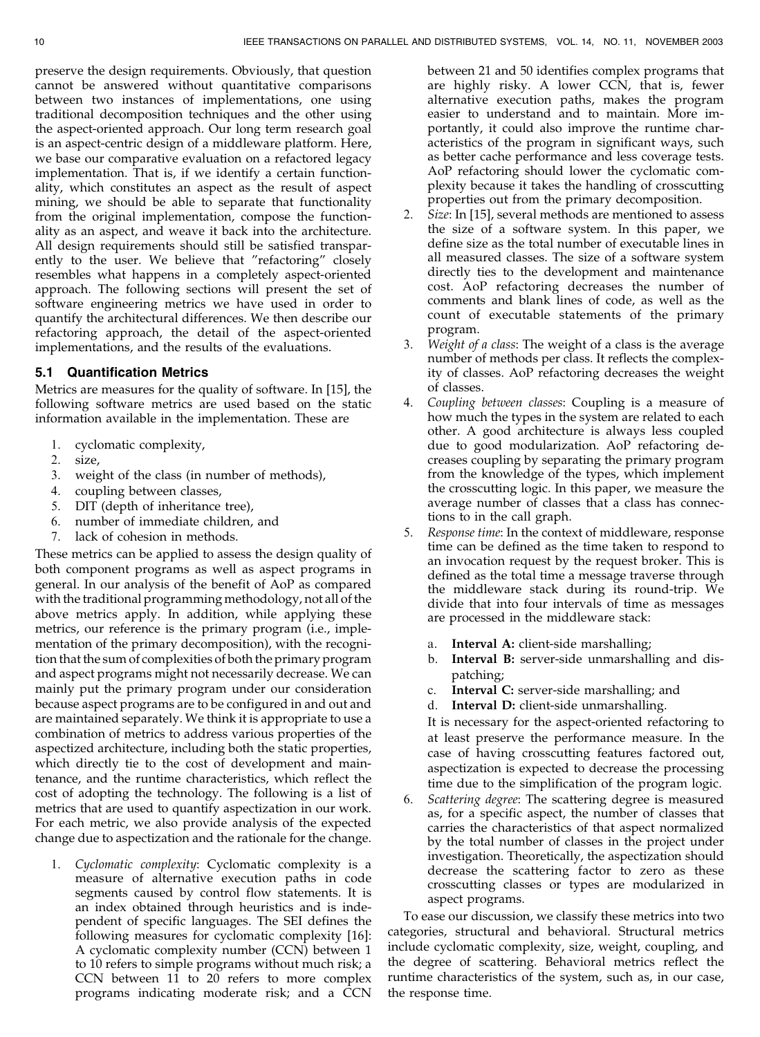preserve the design requirements. Obviously, that question cannot be answered without quantitative comparisons between two instances of implementations, one using traditional decomposition techniques and the other using the aspect-oriented approach. Our long term research goal is an aspect-centric design of a middleware platform. Here, we base our comparative evaluation on a refactored legacy implementation. That is, if we identify a certain functionality, which constitutes an aspect as the result of aspect mining, we should be able to separate that functionality from the original implementation, compose the functionality as an aspect, and weave it back into the architecture. All design requirements should still be satisfied transparently to the user. We believe that "refactoring" closely resembles what happens in a completely aspect-oriented approach. The following sections will present the set of software engineering metrics we have used in order to quantify the architectural differences. We then describe our refactoring approach, the detail of the aspect-oriented implementations, and the results of the evaluations.

#### 5.1 Quantification Metrics

Metrics are measures for the quality of software. In [15], the following software metrics are used based on the static information available in the implementation. These are

- 1. cyclomatic complexity,
- 2. size,
- 3. weight of the class (in number of methods),
- 4. coupling between classes,
- 5. DIT (depth of inheritance tree),
- 6. number of immediate children, and
- 7. lack of cohesion in methods.

These metrics can be applied to assess the design quality of both component programs as well as aspect programs in general. In our analysis of the benefit of AoP as compared with the traditional programming methodology, not all of the above metrics apply. In addition, while applying these metrics, our reference is the primary program (i.e., implementation of the primary decomposition), with the recognition that the sum of complexities of both the primary program and aspect programs might not necessarily decrease. We can mainly put the primary program under our consideration because aspect programs are to be configured in and out and are maintained separately. We think it is appropriate to use a combination of metrics to address various properties of the aspectized architecture, including both the static properties, which directly tie to the cost of development and maintenance, and the runtime characteristics, which reflect the cost of adopting the technology. The following is a list of metrics that are used to quantify aspectization in our work. For each metric, we also provide analysis of the expected change due to aspectization and the rationale for the change.

1. Cyclomatic complexity: Cyclomatic complexity is a measure of alternative execution paths in code segments caused by control flow statements. It is an index obtained through heuristics and is independent of specific languages. The SEI defines the following measures for cyclomatic complexity [16]: A cyclomatic complexity number (CCN) between 1 to 10 refers to simple programs without much risk; a CCN between 11 to 20 refers to more complex programs indicating moderate risk; and a CCN

between 21 and 50 identifies complex programs that are highly risky. A lower CCN, that is, fewer alternative execution paths, makes the program easier to understand and to maintain. More importantly, it could also improve the runtime characteristics of the program in significant ways, such as better cache performance and less coverage tests. AoP refactoring should lower the cyclomatic complexity because it takes the handling of crosscutting properties out from the primary decomposition.

- 2. Size: In [15], several methods are mentioned to assess the size of a software system. In this paper, we define size as the total number of executable lines in all measured classes. The size of a software system directly ties to the development and maintenance cost. AoP refactoring decreases the number of comments and blank lines of code, as well as the count of executable statements of the primary program.
- 3. Weight of a class: The weight of a class is the average number of methods per class. It reflects the complexity of classes. AoP refactoring decreases the weight of classes.
- 4. Coupling between classes: Coupling is a measure of how much the types in the system are related to each other. A good architecture is always less coupled due to good modularization. AoP refactoring decreases coupling by separating the primary program from the knowledge of the types, which implement the crosscutting logic. In this paper, we measure the average number of classes that a class has connections to in the call graph.
- 5. Response time: In the context of middleware, response time can be defined as the time taken to respond to an invocation request by the request broker. This is defined as the total time a message traverse through the middleware stack during its round-trip. We divide that into four intervals of time as messages are processed in the middleware stack:
	- a. Interval A: client-side marshalling;
	- b. Interval B: server-side unmarshalling and dispatching;
	- c. Interval C: server-side marshalling; and
	- d. Interval D: client-side unmarshalling.

It is necessary for the aspect-oriented refactoring to at least preserve the performance measure. In the case of having crosscutting features factored out, aspectization is expected to decrease the processing time due to the simplification of the program logic.

Scattering degree: The scattering degree is measured as, for a specific aspect, the number of classes that carries the characteristics of that aspect normalized by the total number of classes in the project under investigation. Theoretically, the aspectization should decrease the scattering factor to zero as these crosscutting classes or types are modularized in aspect programs.

To ease our discussion, we classify these metrics into two categories, structural and behavioral. Structural metrics include cyclomatic complexity, size, weight, coupling, and the degree of scattering. Behavioral metrics reflect the runtime characteristics of the system, such as, in our case, the response time.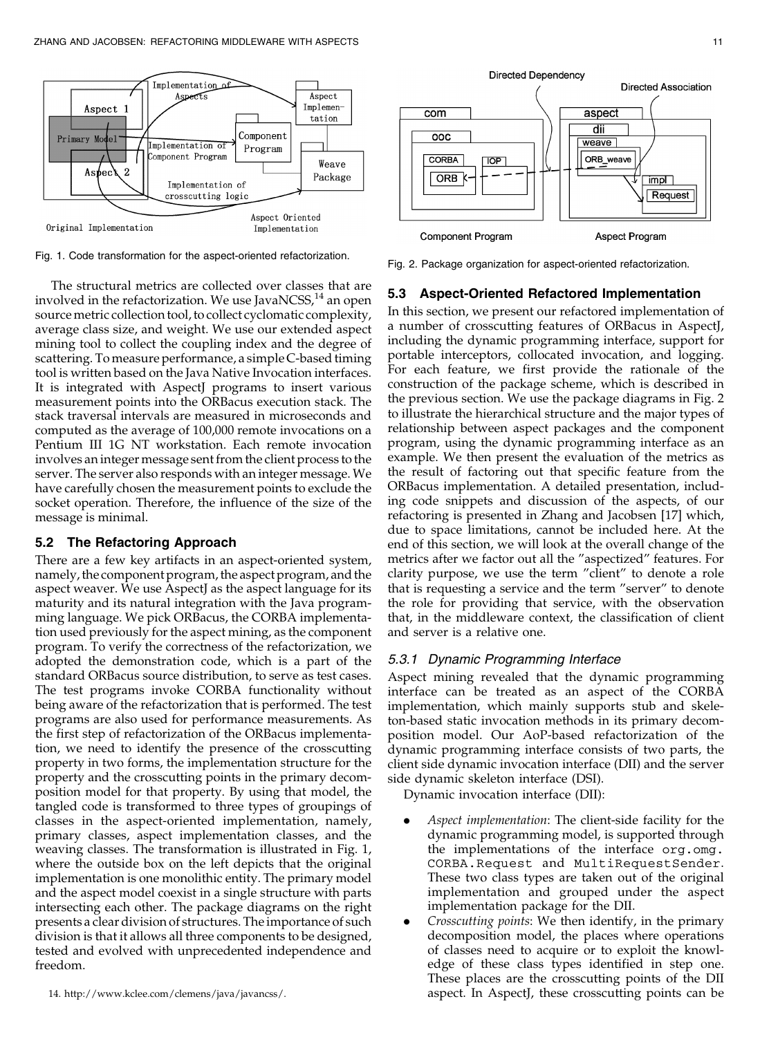

Fig. 1. Code transformation for the aspect-oriented refactorization. Fig. 2. Package organization for aspect-oriented refactorization.

The structural metrics are collected over classes that are involved in the refactorization. We use JavaNCSS, $^{14}$  an open source metric collection tool, to collect cyclomatic complexity, average class size, and weight. We use our extended aspect mining tool to collect the coupling index and the degree of scattering. To measure performance, a simple C-based timing tool is written based on the Java Native Invocation interfaces. It is integrated with AspectJ programs to insert various measurement points into the ORBacus execution stack. The stack traversal intervals are measured in microseconds and computed as the average of 100,000 remote invocations on a Pentium III 1G NT workstation. Each remote invocation involves an integer message sent from the client process to the server. The server also responds with an integer message. We have carefully chosen the measurement points to exclude the socket operation. Therefore, the influence of the size of the message is minimal.

# 5.2 The Refactoring Approach

There are a few key artifacts in an aspect-oriented system, namely, the component program, the aspect program, and the aspect weaver. We use AspectJ as the aspect language for its maturity and its natural integration with the Java programming language. We pick ORBacus, the CORBA implementation used previously for the aspect mining, as the component program. To verify the correctness of the refactorization, we adopted the demonstration code, which is a part of the standard ORBacus source distribution, to serve as test cases. The test programs invoke CORBA functionality without being aware of the refactorization that is performed. The test programs are also used for performance measurements. As the first step of refactorization of the ORBacus implementation, we need to identify the presence of the crosscutting property in two forms, the implementation structure for the property and the crosscutting points in the primary decomposition model for that property. By using that model, the tangled code is transformed to three types of groupings of classes in the aspect-oriented implementation, namely, primary classes, aspect implementation classes, and the weaving classes. The transformation is illustrated in Fig. 1, where the outside box on the left depicts that the original implementation is one monolithic entity. The primary model and the aspect model coexist in a single structure with parts intersecting each other. The package diagrams on the right presents a clear division of structures. The importance of such division is that it allows all three components to be designed, tested and evolved with unprecedented independence and freedom.



#### 5.3 Aspect-Oriented Refactored Implementation

In this section, we present our refactored implementation of a number of crosscutting features of ORBacus in AspectJ, including the dynamic programming interface, support for portable interceptors, collocated invocation, and logging. For each feature, we first provide the rationale of the construction of the package scheme, which is described in the previous section. We use the package diagrams in Fig. 2 to illustrate the hierarchical structure and the major types of relationship between aspect packages and the component program, using the dynamic programming interface as an example. We then present the evaluation of the metrics as the result of factoring out that specific feature from the ORBacus implementation. A detailed presentation, including code snippets and discussion of the aspects, of our refactoring is presented in Zhang and Jacobsen [17] which, due to space limitations, cannot be included here. At the end of this section, we will look at the overall change of the metrics after we factor out all the "aspectized" features. For clarity purpose, we use the term "client" to denote a role that is requesting a service and the term "server" to denote the role for providing that service, with the observation that, in the middleware context, the classification of client and server is a relative one.

## 5.3.1 Dynamic Programming Interface

Aspect mining revealed that the dynamic programming interface can be treated as an aspect of the CORBA implementation, which mainly supports stub and skeleton-based static invocation methods in its primary decomposition model. Our AoP-based refactorization of the dynamic programming interface consists of two parts, the client side dynamic invocation interface (DII) and the server side dynamic skeleton interface (DSI).

Dynamic invocation interface (DII):

- . Aspect implementation: The client-side facility for the dynamic programming model, is supported through the implementations of the interface org.omg. CORBA.Request and MultiRequestSender. These two class types are taken out of the original implementation and grouped under the aspect implementation package for the DII.
- . Crosscutting points: We then identify, in the primary decomposition model, the places where operations of classes need to acquire or to exploit the knowledge of these class types identified in step one. These places are the crosscutting points of the DII aspect. In AspectJ, these crosscutting points can be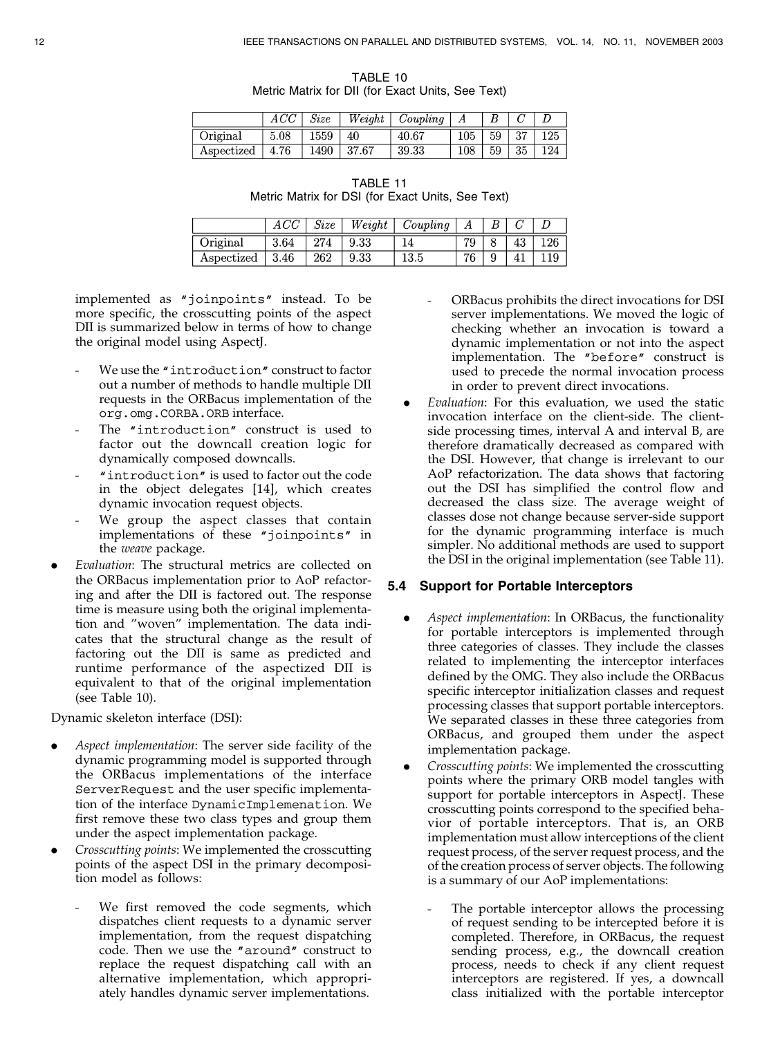|            |      | Size |       | $Weight \mid Coupling$ |         |    |    |     |
|------------|------|------|-------|------------------------|---------|----|----|-----|
| Original   | 5.08 | 1559 | 40    | 40.67                  | $105\,$ | 59 | 97 | 125 |
| Aspectized |      | 1490 | 37.67 | 39.33                  | $108\,$ | 59 | 35 |     |

TABLE 10 Metric Matrix for DII (for Exact Units, See Text)

TABLE 11 Metric Matrix for DSI (for Exact Units, See Text)

|            |      | Size | Weight | Coupling |              | R |    |
|------------|------|------|--------|----------|--------------|---|----|
| Original   | 3.64 | 274  | 9.33   |          | 79           |   | 26 |
| Aspectized | 3.46 | 262  | 9.33   | 13.5     | $\mathbf{r}$ |   | 10 |

implemented as "joinpoints" instead. To be more specific, the crosscutting points of the aspect DII is summarized below in terms of how to change the original model using AspectJ.

- We use the "introduction" construct to factor out a number of methods to handle multiple DII requests in the ORBacus implementation of the org.omg.CORBA.ORB interface.
- The "introduction" construct is used to factor out the downcall creation logic for dynamically composed downcalls.
- "introduction" is used to factor out the code in the object delegates [14], which creates dynamic invocation request objects.
- We group the aspect classes that contain implementations of these "joinpoints" in the weave package.
- . Evaluation: The structural metrics are collected on the ORBacus implementation prior to AoP refactoring and after the DII is factored out. The response time is measure using both the original implementation and "woven" implementation. The data indicates that the structural change as the result of factoring out the DII is same as predicted and runtime performance of the aspectized DII is equivalent to that of the original implementation (see Table 10).

Dynamic skeleton interface (DSI):

- . Aspect implementation: The server side facility of the dynamic programming model is supported through the ORBacus implementations of the interface ServerRequest and the user specific implementation of the interface DynamicImplemenation. We first remove these two class types and group them under the aspect implementation package.
- . Crosscutting points: We implemented the crosscutting points of the aspect DSI in the primary decomposition model as follows:
	- We first removed the code segments, which dispatches client requests to a dynamic server implementation, from the request dispatching code. Then we use the "around" construct to replace the request dispatching call with an alternative implementation, which appropriately handles dynamic server implementations.
- ORBacus prohibits the direct invocations for DSI server implementations. We moved the logic of checking whether an invocation is toward a dynamic implementation or not into the aspect implementation. The "before" construct is used to precede the normal invocation process in order to prevent direct invocations.
- . Evaluation: For this evaluation, we used the static invocation interface on the client-side. The clientside processing times, interval A and interval B, are therefore dramatically decreased as compared with the DSI. However, that change is irrelevant to our AoP refactorization. The data shows that factoring out the DSI has simplified the control flow and decreased the class size. The average weight of classes dose not change because server-side support for the dynamic programming interface is much simpler. No additional methods are used to support the DSI in the original implementation (see Table 11).

## 5.4 Support for Portable Interceptors

- . Aspect implementation: In ORBacus, the functionality for portable interceptors is implemented through three categories of classes. They include the classes related to implementing the interceptor interfaces defined by the OMG. They also include the ORBacus specific interceptor initialization classes and request processing classes that support portable interceptors. We separated classes in these three categories from ORBacus, and grouped them under the aspect implementation package.
- . Crosscutting points: We implemented the crosscutting points where the primary ORB model tangles with support for portable interceptors in AspectJ. These crosscutting points correspond to the specified behavior of portable interceptors. That is, an ORB implementation must allow interceptions of the client request process, of the server request process, and the of the creation process of server objects. The following is a summary of our AoP implementations:
	- The portable interceptor allows the processing of request sending to be intercepted before it is completed. Therefore, in ORBacus, the request sending process, e.g., the downcall creation process, needs to check if any client request interceptors are registered. If yes, a downcall class initialized with the portable interceptor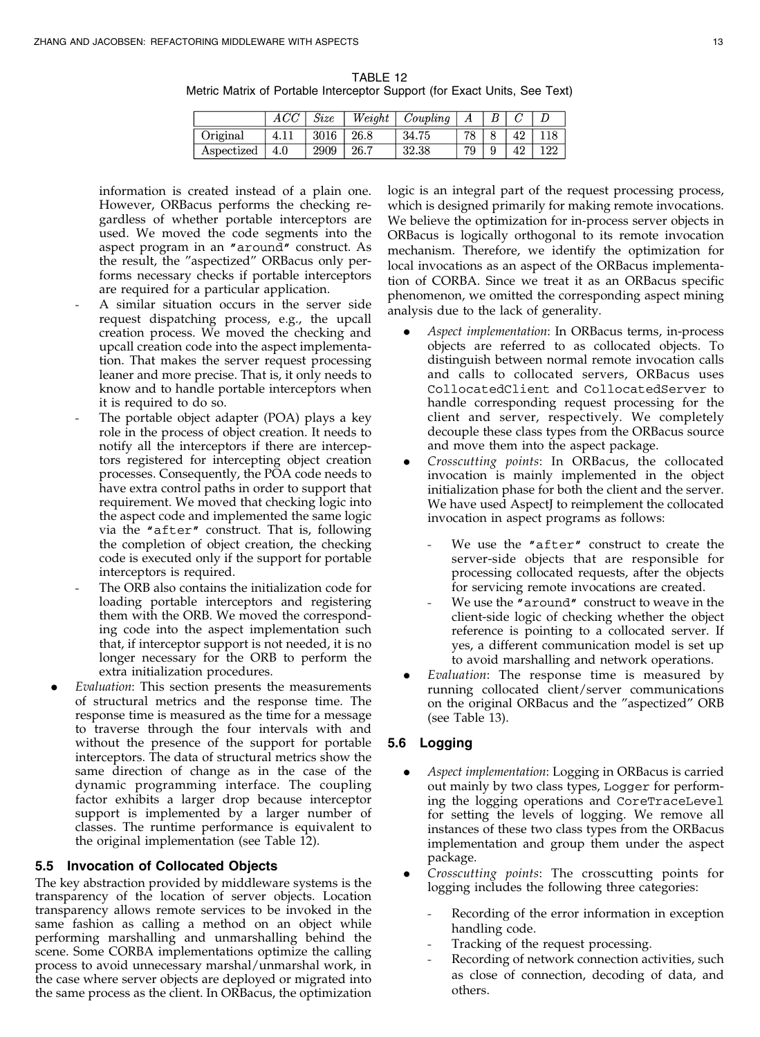|            |      | Size | Weight | Coupling |    |  |     |
|------------|------|------|--------|----------|----|--|-----|
| Original   | 4.11 | 3016 | 26.8   | 34.75    | 70 |  |     |
| Aspectized | 4.0  | 2909 | 26.7   | 32.38    | 70 |  | 122 |

TABLE 12 Metric Matrix of Portable Interceptor Support (for Exact Units, See Text)

information is created instead of a plain one. However, ORBacus performs the checking regardless of whether portable interceptors are used. We moved the code segments into the aspect program in an "around" construct. As the result, the "aspectized" ORBacus only performs necessary checks if portable interceptors are required for a particular application.

- A similar situation occurs in the server side request dispatching process, e.g., the upcall creation process. We moved the checking and upcall creation code into the aspect implementation. That makes the server request processing leaner and more precise. That is, it only needs to know and to handle portable interceptors when it is required to do so.
- The portable object adapter (POA) plays a key role in the process of object creation. It needs to notify all the interceptors if there are interceptors registered for intercepting object creation processes. Consequently, the POA code needs to have extra control paths in order to support that requirement. We moved that checking logic into the aspect code and implemented the same logic via the "after" construct. That is, following the completion of object creation, the checking code is executed only if the support for portable interceptors is required.
- The ORB also contains the initialization code for loading portable interceptors and registering them with the ORB. We moved the corresponding code into the aspect implementation such that, if interceptor support is not needed, it is no longer necessary for the ORB to perform the extra initialization procedures.
- . Evaluation: This section presents the measurements of structural metrics and the response time. The response time is measured as the time for a message to traverse through the four intervals with and without the presence of the support for portable interceptors. The data of structural metrics show the same direction of change as in the case of the dynamic programming interface. The coupling factor exhibits a larger drop because interceptor support is implemented by a larger number of classes. The runtime performance is equivalent to the original implementation (see Table 12).

#### 5.5 Invocation of Collocated Objects

The key abstraction provided by middleware systems is the transparency of the location of server objects. Location transparency allows remote services to be invoked in the same fashion as calling a method on an object while performing marshalling and unmarshalling behind the scene. Some CORBA implementations optimize the calling process to avoid unnecessary marshal/unmarshal work, in the case where server objects are deployed or migrated into the same process as the client. In ORBacus, the optimization logic is an integral part of the request processing process, which is designed primarily for making remote invocations. We believe the optimization for in-process server objects in ORBacus is logically orthogonal to its remote invocation mechanism. Therefore, we identify the optimization for local invocations as an aspect of the ORBacus implementation of CORBA. Since we treat it as an ORBacus specific phenomenon, we omitted the corresponding aspect mining analysis due to the lack of generality.

- . Aspect implementation: In ORBacus terms, in-process objects are referred to as collocated objects. To distinguish between normal remote invocation calls and calls to collocated servers, ORBacus uses CollocatedClient and CollocatedServer to handle corresponding request processing for the client and server, respectively. We completely decouple these class types from the ORBacus source and move them into the aspect package.
- . Crosscutting points: In ORBacus, the collocated invocation is mainly implemented in the object initialization phase for both the client and the server. We have used AspectJ to reimplement the collocated invocation in aspect programs as follows:
	- We use the "after" construct to create the server-side objects that are responsible for processing collocated requests, after the objects for servicing remote invocations are created.
	- We use the "around" construct to weave in the client-side logic of checking whether the object reference is pointing to a collocated server. If yes, a different communication model is set up to avoid marshalling and network operations.
- . Evaluation: The response time is measured by running collocated client/server communications on the original ORBacus and the "aspectized" ORB (see Table 13).

## 5.6 Logging

- . Aspect implementation: Logging in ORBacus is carried out mainly by two class types, Logger for performing the logging operations and CoreTraceLevel for setting the levels of logging. We remove all instances of these two class types from the ORBacus implementation and group them under the aspect package.
- . Crosscutting points: The crosscutting points for logging includes the following three categories:
	- Recording of the error information in exception handling code.
	- Tracking of the request processing.
	- Recording of network connection activities, such as close of connection, decoding of data, and others.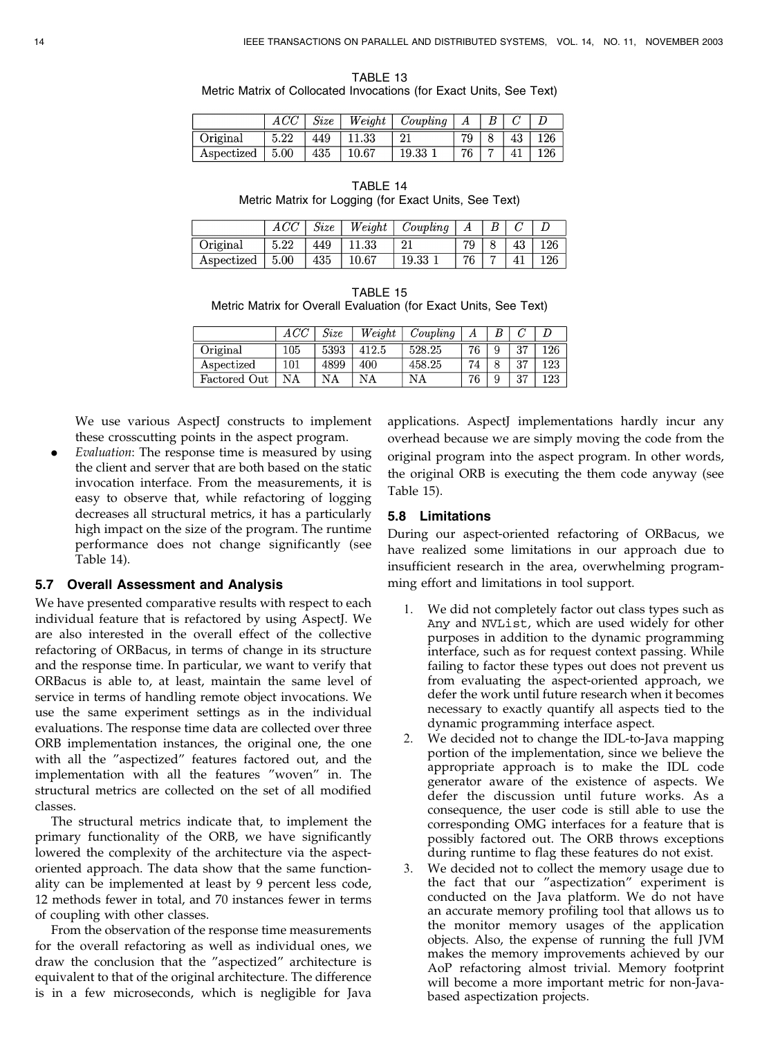| TABLE 13                                                            |  |
|---------------------------------------------------------------------|--|
| Metric Matrix of Collocated Invocations (for Exact Units, See Text) |  |

|            |      | Size |       | $Weight \mid Coupling \mid A \mid$ |    | B              |    |     |
|------------|------|------|-------|------------------------------------|----|----------------|----|-----|
| Original   | 5.22 | 449  | 11.33 | 21                                 | 79 |                | 43 | 126 |
| Aspectized | 5.00 | 435  | 10.67 | 19.33 1                            | 76 | $\overline{ }$ | 41 | 126 |

TABLE 14 Metric Matrix for Logging (for Exact Units, See Text)

|            |      | Size | Weight    | Couplina |    |    |     |
|------------|------|------|-----------|----------|----|----|-----|
| Original   | 5.22 | 449  | $11.33\,$ | ິດ:      | 79 | 43 | 126 |
| Aspectized | 5.00 | 435  | 10.67     | 19.33    | 76 |    | 126 |

TABLE 15 Metric Matrix for Overall Evaluation (for Exact Units, See Text)

|              |         | Size | Weight | Coupling |    |   |          |         |
|--------------|---------|------|--------|----------|----|---|----------|---------|
| Original     | l05     | 5393 | 412.5  | 528.25   | 76 | 9 | 27       | 126     |
| Aspectized   | $_{01}$ | 4899 | 400    | 458.25   | 74 | 8 | 27<br>., | $123 -$ |
| Factored Out | NΑ      | ΝA   | NΑ     | NA       | 76 | 9 | 27       | 123     |

We use various AspectJ constructs to implement these crosscutting points in the aspect program.

. Evaluation: The response time is measured by using the client and server that are both based on the static invocation interface. From the measurements, it is easy to observe that, while refactoring of logging decreases all structural metrics, it has a particularly high impact on the size of the program. The runtime performance does not change significantly (see Table 14).

## 5.7 Overall Assessment and Analysis

We have presented comparative results with respect to each individual feature that is refactored by using AspectJ. We are also interested in the overall effect of the collective refactoring of ORBacus, in terms of change in its structure and the response time. In particular, we want to verify that ORBacus is able to, at least, maintain the same level of service in terms of handling remote object invocations. We use the same experiment settings as in the individual evaluations. The response time data are collected over three ORB implementation instances, the original one, the one with all the "aspectized" features factored out, and the implementation with all the features "woven" in. The structural metrics are collected on the set of all modified classes.

The structural metrics indicate that, to implement the primary functionality of the ORB, we have significantly lowered the complexity of the architecture via the aspectoriented approach. The data show that the same functionality can be implemented at least by 9 percent less code, 12 methods fewer in total, and 70 instances fewer in terms of coupling with other classes.

From the observation of the response time measurements for the overall refactoring as well as individual ones, we draw the conclusion that the "aspectized" architecture is equivalent to that of the original architecture. The difference is in a few microseconds, which is negligible for Java applications. AspectJ implementations hardly incur any overhead because we are simply moving the code from the original program into the aspect program. In other words, the original ORB is executing the them code anyway (see Table 15).

## 5.8 Limitations

During our aspect-oriented refactoring of ORBacus, we have realized some limitations in our approach due to insufficient research in the area, overwhelming programming effort and limitations in tool support.

- 1. We did not completely factor out class types such as Any and NVList, which are used widely for other purposes in addition to the dynamic programming interface, such as for request context passing. While failing to factor these types out does not prevent us from evaluating the aspect-oriented approach, we defer the work until future research when it becomes necessary to exactly quantify all aspects tied to the dynamic programming interface aspect.
- 2. We decided not to change the IDL-to-Java mapping portion of the implementation, since we believe the appropriate approach is to make the IDL code generator aware of the existence of aspects. We defer the discussion until future works. As a consequence, the user code is still able to use the corresponding OMG interfaces for a feature that is possibly factored out. The ORB throws exceptions during runtime to flag these features do not exist.
- 3. We decided not to collect the memory usage due to the fact that our "aspectization" experiment is conducted on the Java platform. We do not have an accurate memory profiling tool that allows us to the monitor memory usages of the application objects. Also, the expense of running the full JVM makes the memory improvements achieved by our AoP refactoring almost trivial. Memory footprint will become a more important metric for non-Javabased aspectization projects.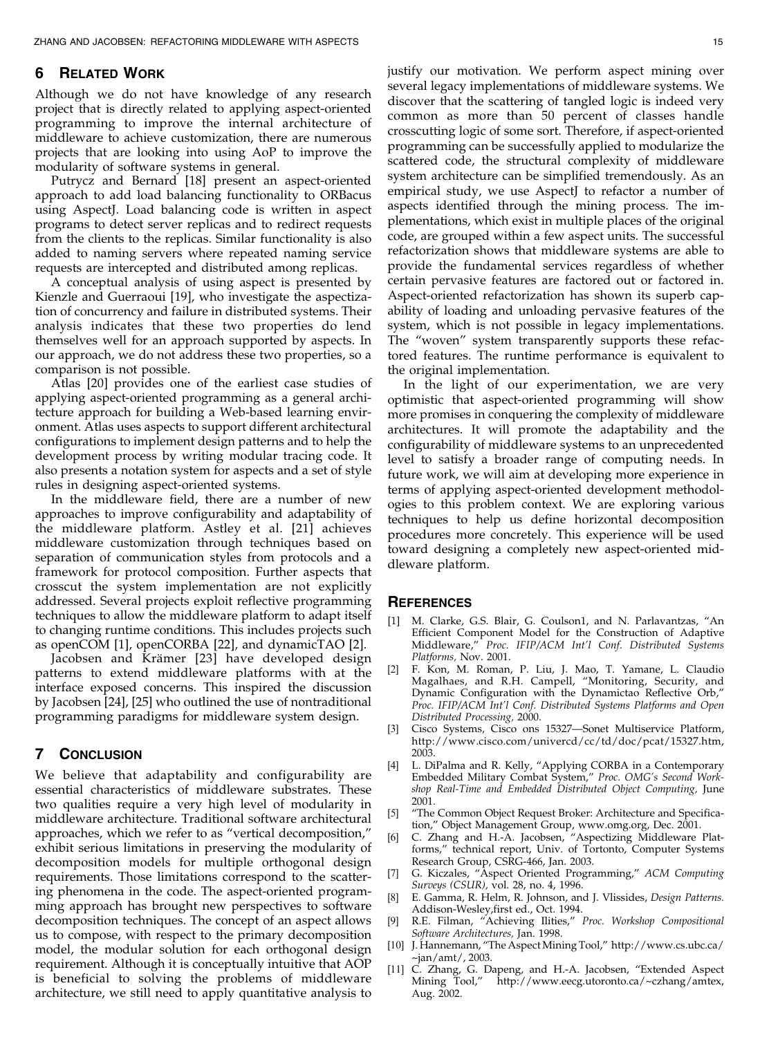# 6 RELATED WORK

Although we do not have knowledge of any research project that is directly related to applying aspect-oriented programming to improve the internal architecture of middleware to achieve customization, there are numerous projects that are looking into using AoP to improve the modularity of software systems in general.

Putrycz and Bernard [18] present an aspect-oriented approach to add load balancing functionality to ORBacus using AspectJ. Load balancing code is written in aspect programs to detect server replicas and to redirect requests from the clients to the replicas. Similar functionality is also added to naming servers where repeated naming service requests are intercepted and distributed among replicas.

A conceptual analysis of using aspect is presented by Kienzle and Guerraoui [19], who investigate the aspectization of concurrency and failure in distributed systems. Their analysis indicates that these two properties do lend themselves well for an approach supported by aspects. In our approach, we do not address these two properties, so a comparison is not possible.

Atlas [20] provides one of the earliest case studies of applying aspect-oriented programming as a general architecture approach for building a Web-based learning environment. Atlas uses aspects to support different architectural configurations to implement design patterns and to help the development process by writing modular tracing code. It also presents a notation system for aspects and a set of style rules in designing aspect-oriented systems.

In the middleware field, there are a number of new approaches to improve configurability and adaptability of the middleware platform. Astley et al. [21] achieves middleware customization through techniques based on separation of communication styles from protocols and a framework for protocol composition. Further aspects that crosscut the system implementation are not explicitly addressed. Several projects exploit reflective programming techniques to allow the middleware platform to adapt itself to changing runtime conditions. This includes projects such as openCOM [1], openCORBA [22], and dynamicTAO [2].

Jacobsen and Krämer [23] have developed design patterns to extend middleware platforms with at the interface exposed concerns. This inspired the discussion by Jacobsen [24], [25] who outlined the use of nontraditional programming paradigms for middleware system design.

## 7 CONCLUSION

We believe that adaptability and configurability are essential characteristics of middleware substrates. These two qualities require a very high level of modularity in middleware architecture. Traditional software architectural approaches, which we refer to as "vertical decomposition," exhibit serious limitations in preserving the modularity of decomposition models for multiple orthogonal design requirements. Those limitations correspond to the scattering phenomena in the code. The aspect-oriented programming approach has brought new perspectives to software decomposition techniques. The concept of an aspect allows us to compose, with respect to the primary decomposition model, the modular solution for each orthogonal design requirement. Although it is conceptually intuitive that AOP is beneficial to solving the problems of middleware architecture, we still need to apply quantitative analysis to

justify our motivation. We perform aspect mining over several legacy implementations of middleware systems. We discover that the scattering of tangled logic is indeed very common as more than 50 percent of classes handle crosscutting logic of some sort. Therefore, if aspect-oriented programming can be successfully applied to modularize the scattered code, the structural complexity of middleware system architecture can be simplified tremendously. As an empirical study, we use AspectJ to refactor a number of aspects identified through the mining process. The implementations, which exist in multiple places of the original code, are grouped within a few aspect units. The successful refactorization shows that middleware systems are able to provide the fundamental services regardless of whether certain pervasive features are factored out or factored in. Aspect-oriented refactorization has shown its superb capability of loading and unloading pervasive features of the system, which is not possible in legacy implementations. The "woven" system transparently supports these refactored features. The runtime performance is equivalent to the original implementation.

In the light of our experimentation, we are very optimistic that aspect-oriented programming will show more promises in conquering the complexity of middleware architectures. It will promote the adaptability and the configurability of middleware systems to an unprecedented level to satisfy a broader range of computing needs. In future work, we will aim at developing more experience in terms of applying aspect-oriented development methodologies to this problem context. We are exploring various techniques to help us define horizontal decomposition procedures more concretely. This experience will be used toward designing a completely new aspect-oriented middleware platform.

#### **REFERENCES**

- [1] M. Clarke, G.S. Blair, G. Coulson1, and N. Parlavantzas, "An Efficient Component Model for the Construction of Adaptive Middleware," Proc. IFIP/ACM Int'l Conf. Distributed Systems Platforms, Nov. 2001.
- [2] F. Kon, M. Roman, P. Liu, J. Mao, T. Yamane, L. Claudio Magalhaes, and R.H. Campell, "Monitoring, Security, and Dynamic Configuration with the Dynamictao Reflective Orb," Proc. IFIP/ACM Int'l Conf. Distributed Systems Platforms and Open Distributed Processing, 2000.
- [3] Cisco Systems, Cisco ons 15327—Sonet Multiservice Platform, http://www.cisco.com/univercd/cc/td/doc/pcat/15327.htm, 2003.
- [4] L. DiPalma and R. Kelly, "Applying CORBA in a Contemporary Embedded Military Combat System," Proc. OMG's Second Workshop Real-Time and Embedded Distributed Object Computing, June 2001.
- [5] "The Common Object Request Broker: Architecture and Specification," Object Management Group, www.omg.org, Dec. 2001.
- [6] C. Zhang and H.-A. Jacobsen, "Aspectizing Middleware Platforms," technical report, Univ. of Tortonto, Computer Systems Research Group, CSRG-466, Jan. 2003.
- [7] G. Kiczales, "Aspect Oriented Programming," ACM Computing Surveys (CSUR), vol. 28, no. 4, 1996.
- E. Gamma, R. Helm, R. Johnson, and J. Vlissides, Design Patterns. Addison-Wesley,first ed., Oct. 1994.
- [9] R.E. Filman, "Achieving Ilities," Proc. Workshop Compositional Software Architectures, Jan. 1998.
- [10] J. Hannemann, "The Aspect Mining Tool," http://www.cs.ubc.ca/ ~jan/amt/, 2003.
- [11] C. Zhang, G. Dapeng, and H.-A. Jacobsen, "Extended Aspect Mining Tool," http://www.eecg.utoronto.ca/~czhang/amtex, Aug. 2002.